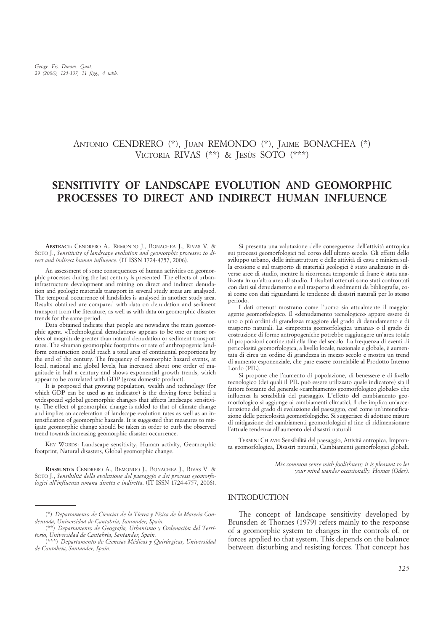# ANTONIO CENDRERO (\*), JUAN REMONDO (\*), JAIME BONACHEA (\*) VICTORIA RIVAS (\*\*) & JESÙS SOTO (\*\*\*)

# **SENSITIVITY OF LANDSCAPE EVOLUTION AND GEOMORPHIC PROCESSES TO DIRECT AND INDIRECT HUMAN INFLUENCE**

**ABSTRACT:** CENDRERO A., REMONDO J., BONACHEA J., RIVAS V. & SOTO J., *Sensitivity of landscape evolution and geomorphic processes to direct and indirect human influence*. (IT ISSN 1724-4757, 2006).

An assessment of some consequences of human activities on geomorphic processes during the last century is presented. The effects of urbaninfrastructure development and mining on direct and indirect denudation and geologic materials transport in several study areas are analysed. The temporal occurrence of landslides is analysed in another study area. Results obtained are compared with data on denudation and sediment transport from the literature, as well as with data on geomorphic disaster trends for the same period.

Data obtained indicate that people are nowadays the main geomorphic agent. «Technological denudation» appears to be one or more orders of magnitude greater than natural denudation or sediment transport rates. The «human geomorphic footprint» or rate of anthropogenic landform construction could reach a total area of continental proportions by the end of the century. The frequency of geomorphic hazard events, at local, national and global levels, has increased about one order of magnitude in half a century and shows exponential growth trends, which appear to be correlated with GDP (gross domestic product).

It is proposed that growing population, wealth and technology (for which GDP can be used as an indicator) is the driving force behind a widespread «global geomorphic change» that affects landscape sensitivity. The effect of geomorphic change is added to that of climate change and implies an acceleration of landscape evolution rates as well as an intensification of geomorphic hazards. It is suggested that measures to mitigate geomorphic change should be taken in order to curb the observed trend towards increasing geomorphic disaster occurrence.

KEY WORDS: Landscape sensitivity, Human activity, Geomorphic footprint, Natural disasters, Global geomorphic change.

**RIASSUNTO:** CENDRERO A., REMONDO J., BONACHEA J., RIVAS V. & SOTO J., *Sensibilità della evoluzione del paesaggio e dei processi geomorfologici all'influenza umana diretta e indiretta*. (IT ISSN 1724-4757, 2006).

Si presenta una valutazione delle conseguenze dell'attività antropica sui processi geomorfologici nel corso dell'ultimo secolo. Gli effetti dello sviluppo urbano, delle infrastrutture e delle attività di cava e miniera sulla erosione e sul trasporto di materiali geologici è stato analizzato in diverse aree di studio, mentre la ricorrenza temporale di frane è stata analizzata in un'altra area di studio. I risultati ottenuti sono stati confrontati con dati sul denudamento e sul trasporto di sedimenti da bibliografia, così come con dati riguardanti le tendenze di disastri naturali per lo stesso periodo.

I dati ottenuti mostrano come l'uomo sia attualmente il maggior agente geomorfologico. Il «denudamento tecnologico» appare essere di uno o più ordini di grandezza maggiore del grado di denudamento e di trasporto naturali. La «impronta geomorfologica umana» o il grado di costruzione di forme antropogeniche potrebbe raggiungere un'area totale di proporzioni continentali alla fine del secolo. La frequenza di eventi di pericolosità geomorfologica, a livello locale, nazionale e globale, è aumentata di circa un ordine di grandezza in mezzo secolo e mostra un trend di aumento esponenziale, che pare essere correlabile al Prodotto Interno Lordo (PIL).

Si propone che l'aumento di popolazione, di benessere e di livello tecnologico (dei quali il PIL può essere utilizzato quale indicatore) sia il fattore forzante del generale «cambiamento geomorfologico globale» che influenza la sensibilità del paesaggio. L'effetto del cambiamento geomorfologico si aggiunge ai cambiamenti climatici, il che implica un'accelerazione del grado di evoluzione del paesaggio, così come un'intensificazione delle pericolosità geomorfologiche. Si suggerisce di adottare misure di mitigazione dei cambiamenti geomorfologici al fine di ridimensionare l'attuale tendenza all'aumento dei disastri naturali.

TERMINI CHIAVE: Sensibilità del paesaggio, Attività antropica, Impronta geomorfologica, Disastri naturali, Cambiamenti gemorfologici globali.

> *Mix common sense with foolishness; it is pleasant to let your mind wander occasionally. Horace (Odes).*

#### INTRODUCTION

The concept of landscape sensitivity developed by Brunsden & Thornes (1979) refers mainly to the response of a geomorphic system to changes in the controls of, or forces applied to that system. This depends on the balance between disturbing and resisting forces. That concept has

<sup>(\*)</sup> *Departamento de Ciencias de la Tierra y Física de la Materia Condensada, Universidad de Cantabria, Santander, Spain.*

<sup>(\*\*)</sup> *Departamento de Geografía, Urbanismo y Ordenación del Territorio, Universidad de Cantabria, Santander, Spain.*

<sup>(\*\*\*)</sup> *Departamento de Ciencias Médicas y Quirúrgicas, Universidad de Cantabria, Santander, Spain.*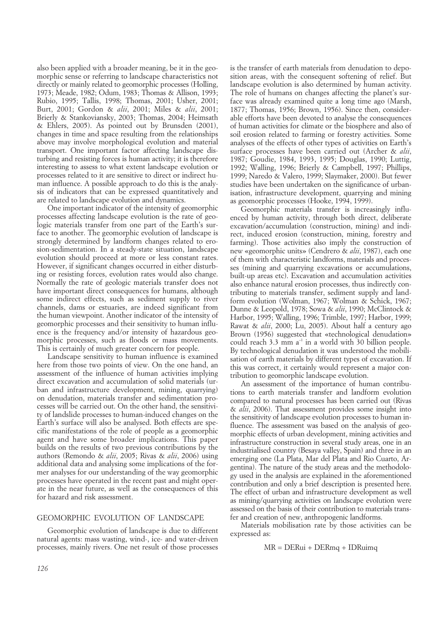also been applied with a broader meaning, be it in the geomorphic sense or referring to landscape characteristics not directly or mainly related to geomorphic processes (Holling, 1973; Meade, 1982; Odum, 1983; Thomas & Allison, 1993; Rubio, 1995; Tallis, 1998; Thomas, 2001; Usher, 2001; Burt, 2001; Gordon & *alii*, 2001; Miles & *alii*, 2001; Brierly & Stankoviansky, 2003; Thomas, 2004; Heimsath & Ehlers, 2005). As pointed out by Brunsden (2001), changes in time and space resulting from the relationships above may involve morphological evolution and material transport. One important factor affecting landscape disturbing and resisting forces is human activity; it is therefore interesting to assess to what extent landscape evolution or processes related to it are sensitive to direct or indirect human influence. A possible approach to do this is the analysis of indicators that can be expressed quantitatively and are related to landscape evolution and dynamics.

One important indicator of the intensity of geomorphic processes affecting landscape evolution is the rate of geologic materials transfer from one part of the Earth's surface to another. The geomorphic evolution of landscape is strongly determined by landform changes related to erosion-sedimentation. In a steady-state situation, landscape evolution should proceed at more or less constant rates. However, if significant changes occurred in either disturbing or resisting forces, evolution rates would also change. Normally the rate of geologic materials transfer does not have important direct consequences for humans, although some indirect effects, such as sediment supply to river channels, dams or estuaries, are indeed significant from the human viewpoint. Another indicator of the intensity of geomorphic processes and their sensitivity to human influence is the frequency and/or intensity of hazardous geomorphic processes, such as floods or mass movements. This is certainly of much greater concern for people.

Landscape sensitivity to human influence is examined here from those two points of view. On the one hand, an assessment of the influence of human activities implying direct excavation and accumulation of solid materials (urban and infrastructure development, mining, quarrying) on denudation, materials transfer and sedimentation processes will be carried out. On the other hand, the sensitivity of landslide processes to human-induced changes on the Earth's surface will also be analysed. Both effects are specific manifestations of the role of people as a geomorphic agent and have some broader implications. This paper builds on the results of two previous contributions by the authors (Remondo & *alii*, 2005; Rivas & *alii*, 2006) using additional data and analysing some implications of the former analyses for our understanding of the way geomorphic processes have operated in the recent past and might operate in the near future, as well as the consequences of this for hazard and risk assessment.

GEOMORPHIC EVOLUTION OF LANDSCAPE

Geomorphic evolution of landscape is due to different natural agents: mass wasting, wind-, ice- and water-driven processes, mainly rivers. One net result of those processes is the transfer of earth materials from denudation to deposition areas, with the consequent softening of relief. But landscape evolution is also determined by human activity. The role of humans on changes affecting the planet's surface was already examined quite a long time ago (Marsh, 1877; Thomas, 1956; Brown, 1956). Since then, considerable efforts have been devoted to analyse the consequences of human activities for climate or the biosphere and also of soil erosion related to farming or forestry activities. Some analyses of the effects of other types of activities on Earth's surface processes have been carried out (Archer & *alii*, 1987; Goudie, 1984, 1993, 1995; Douglas, 1990; Luttig, 1992; Walling, 1996; Brierly & Campbell, 1997; Phillips, 1999; Naredo & Valero, 1999; Slaymaker, 2000). But fewer studies have been undertaken on the significance of urbanisation, infrastructure development, quarrying and mining as geomorphic processes (Hooke, 1994, 1999).

Geomorphic materials transfer is increasingly influenced by human activity, through both direct, deliberate excavation/accumulation (construction, mining) and indirect, induced erosion (construction, mining, forestry and farming). Those activities also imply the construction of new «geomorphic units» (Cendrero & *alii*, 1987), each one of them with characteristic landforms, materials and processes (mining and quarrying excavations or accumulations, built-up areas etc). Excavation and accumulation activities also enhance natural erosion processes, thus indirectly contributing to materials transfer, sediment supply and landform evolution (Wolman, 1967; Wolman & Schick, 1967; Dunne & Leopold, 1978; Sowa & *alii*, 1990; McClintock & Harbor, 1995; Walling, 1996; Trimble, 1997; Harbor, 1999; Rawat & *alii*, 2000; Lu, 2005). About half a century ago Brown (1956) suggested that «technological denudation» could reach  $3.3 \text{ mm}$  a<sup>-1</sup> in a world with  $30$  billion people. By technological denudation it was understood the mobilisation of earth materials by different types of excavation. If this was correct, it certainly would represent a major contribution to geomorphic landscape evolution.

An assessment of the importance of human contributions to earth materials transfer and landform evolution compared to natural processes has been carried out (Rivas & *alii*, 2006). That assessment provides some insight into the sensitivity of landscape evolution processes to human influence. The assessment was based on the analysis of geomorphic effects of urban development, mining activities and infrastructure construction in several study areas, one in an industrialised country (Besaya valley, Spain) and three in an emerging one (La Plata, Mar del Plata and Rio Cuarto, Argentina). The nature of the study areas and the methodology used in the analysis are explained in the aforementioned contribution and only a brief description is presented here. The effect of urban and infrastructure development as well as mining/quarrying activities on landscape evolution were assessed on the basis of their contribution to materials transfer and creation of new, anthropogenic landforms.

Materials mobilisation rate by those activities can be expressed as:

 $MR = DERui + DERmq + IDRuimq$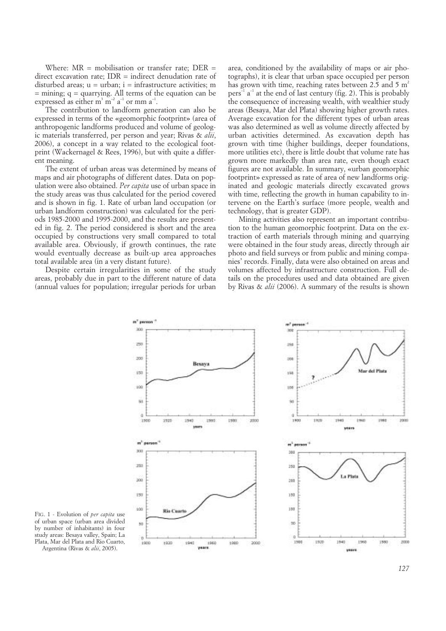Where:  $MR =$  mobilisation or transfer rate:  $DER =$ direct excavation rate; IDR = indirect denudation rate of disturbed areas;  $u = u$ rban;  $i = infra$ structure activities; m = mining; q = quarrying. All terms of the equation can be expressed as either m<sup>3</sup> m<sup>-2</sup> a<sup>-1</sup> or mm a<sup>-1</sup>.

The contribution to landform generation can also be expressed in terms of the «geomorphic footprint» (area of anthropogenic landforms produced and volume of geologic materials transferred, per person and year; Rivas & *alii*, 2006), a concept in a way related to the ecological footprint (Wackernagel & Rees, 1996), but with quite a different meaning.

The extent of urban areas was determined by means of maps and air photographs of different dates. Data on population were also obtained. *Per capita* use of urban space in the study areas was thus calculated for the period covered and is shown in fig. 1. Rate of urban land occupation (or urban landform construction) was calculated for the periods 1985-2000 and 1995-2000, and the results are presented in fig. 2. The period considered is short and the area occupied by constructions very small compared to total available area. Obviously, if growth continues, the rate would eventually decrease as built-up area approaches total available area (in a very distant future).

Despite certain irregularities in some of the study areas, probably due in part to the different nature of data (annual values for population; irregular periods for urban

area, conditioned by the availability of maps or air photographs), it is clear that urban space occupied per person has grown with time, reaching rates between 2.5 and 5  $m<sup>2</sup>$  $pers^{-1}$  a<sup>-1</sup> at the end of last century (fig. 2). This is probably the consequence of increasing wealth, with wealthier study areas (Besaya, Mar del Plata) showing higher growth rates. Average excavation for the different types of urban areas was also determined as well as volume directly affected by urban activities determined. As excavation depth has grown with time (higher buildings, deeper foundations, more utilities etc), there is little doubt that volume rate has grown more markedly than area rate, even though exact figures are not available. In summary, «urban geomorphic footprint» expressed as rate of area of new landforms originated and geologic materials directly excavated grows with time, reflecting the growth in human capability to intervene on the Earth's surface (more people, wealth and technology, that is greater GDP).

Mining activities also represent an important contribution to the human geomorphic footprint. Data on the extraction of earth materials through mining and quarrying were obtained in the four study areas, directly through air photo and field surveys or from public and mining companies' records. Finally, data were also obtained on areas and volumes affected by infrastructure construction. Full details on the procedures used and data obtained are given by Rivas & *alii* (2006). A summary of the results is shown





Argentina (Rivas & *alii*, 2005).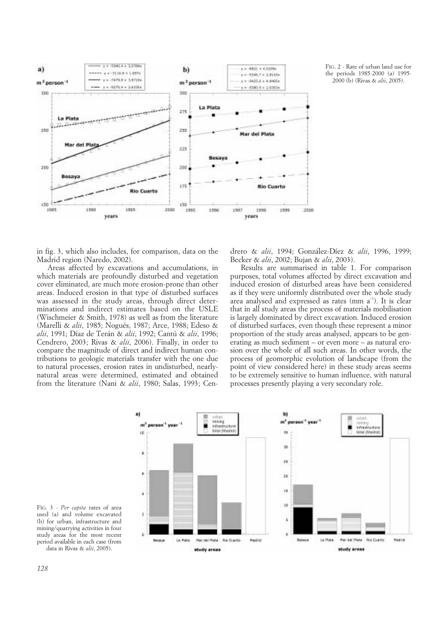

FIG. 2 - Rate of urban land use for the periods 1985-2000 (a) 1995- 2000 (b) (Rivas & *alii*, 2005).

in fig. 3, which also includes, for comparison, data on the Madrid region (Naredo, 2002).

Areas affected by excavations and accumulations, in which materials are profoundly disturbed and vegetation cover eliminated, are much more erosion-prone than other areas. Induced erosion in that type of disturbed surfaces was assessed in the study areas, through direct determinations and indirect estimates based on the USLE (Wischmeier & Smith, 1978) as well as from the literature (Marelli & *alii*, 1985; Nogués, 1987; Arce, 1988; Edeso & *alii*, 1991; Díaz de Terán & *alii*, 1992; Cantú & *alii*, 1996; Cendrero, 2003; Rivas & *alii*, 2006). Finally, in order to compare the magnitude of direct and indirect human contributions to geologic materials transfer with the one due to natural processes, erosion rates in undisturbed, nearlynatural areas were determined, estimated and obtained from the literature (Nani & *alii*, 1980; Salas, 1993; Cendrero & *alii*, 1994; González-Díez & *alii*, 1996, 1999; Becker & *alii*, 2002; Bujan & *alii*, 2003).

Results are summarised in table 1. For comparison purposes, total volumes affected by direct excavation and induced erosion of disturbed areas have been considered as if they were uniformly distributed over the whole study area analysed and expressed as rates (mm  $a^{-1}$ ). It is clear that in all study areas the process of materials mobilisation is largely dominated by direct excavation. Induced erosion of disturbed surfaces, even though these represent a minor proportion of the study areas analysed, appears to be generating as much sediment – or even more – as natural erosion over the whole of all such areas. In other words, the process of geomorphic evolution of landscape (from the point of view considered here) in these study areas seems to be extremely sensitive to human influence, with natural processes presently playing a very secondary role.



FIG. 3 - *Per capita* rates of area used (a) and volume excavated (b) for urban, infrastructure and mining/quarrying activities in four study areas for the most recent period available in each case (from data in Rivas & *alii*, 2005).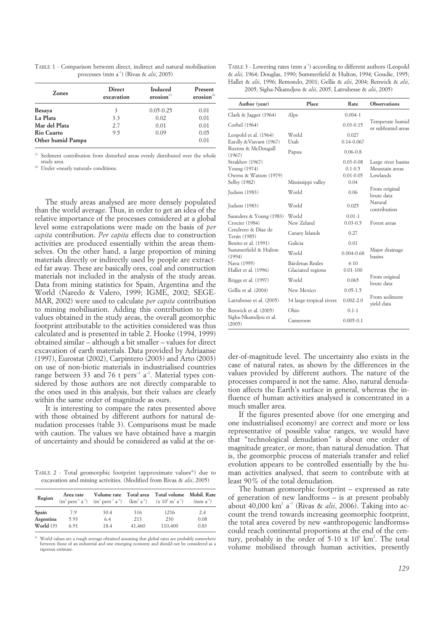| TABLE 1 - Comparison between direct, indirect and natural mobilisation |  |  |
|------------------------------------------------------------------------|--|--|
| processes (mm $a^{-1}$ ) (Rivas & <i>alii</i> , 2005)                  |  |  |

| Zones             | <b>Direct</b><br>excavation | <b>Induced</b><br>erosion <sup>(1)</sup> | Present<br>erosion $^{(2)}$ |
|-------------------|-----------------------------|------------------------------------------|-----------------------------|
| <b>Besaya</b>     | 3                           | $0.05 - 0.25$                            | 0.01                        |
| La Plata          | 3.3                         | 0.02                                     | 0.01                        |
| Mar del Plata     | 2.7                         | 0.01                                     | 0.01                        |
| <b>Rio Cuarto</b> | 9.5                         | 0.09                                     | 0.05                        |
| Other humid Pampa |                             |                                          | 0.01                        |

(1) Sediment contribution from disturbed areas evenly distributed over the whole study area.

(2) Under «nearly natural» conditions.

The study areas analysed are more densely populated Ruxton & McDougall Cendrero & Díaz de

than the world average. Thus, in order to get an idea of the relative importance of the processes considered at a global level some extrapolations were made on the basis of *per capita* contribution. *Per capita* effects due to construction activities are produced essentially within the areas themselves. On the other hand, a large proportion of mining materials directly or indirectly used by people are extracted far away. These are basically ores, coal and construction materials not included in the analysis of the study areas. Data from mining statistics for Spain, Argentina and the World (Naredo & Valero, 1999; IGME, 2002; SEGE-MAR, 2002) were used to calculate *per capita* contribution to mining mobilisation. Adding this contribution to the values obtained in the study areas, the overall geomorphic footprint attributable to the activities considered was thus calculated and is presented in table 2. Hooke (1994, 1999) obtained similar – although a bit smaller – values for direct excavation of earth materials. Data provided by Adriaanse (1997), Eurostat (2002), Carpintero (2003) and Arto (2003) on use of non-biotic materials in industrialised countries range between 33 and 76 t pers<sup>-1</sup>  $a^{-1}$ . Material types considered by those authors are not directly comparable to the ones used in this analysis, but their values are clearly within the same order of magnitude as ours.

It is interesting to compare the rates presented above with those obtained by different authors for natural denudation processes (table 3). Comparisons must be made with caution. The values we have obtained have a margin of uncertainty and should be considered as valid at the or-

TABLE 2 - Total geomorphic footprint (approximate values\*) due to excavation and mining activities. (Modified from Rivas & *alii*, 2005)

| Region                   | Area rate    |             |               | Volume rate Total area Total volume Mobil. Rate<br>$(m^{2} \text{ pers}^{-1} a^{-1})$ $(m^{3} \text{ pers}^{-1} a^{-1})$ $(km^{2} a^{-1})$ $(x 10^{6} m^{3} a^{-1})$ | $(mm a^{-1})$ |
|--------------------------|--------------|-------------|---------------|----------------------------------------------------------------------------------------------------------------------------------------------------------------------|---------------|
| Spain                    | 7.9          | 30.4        | 316           | 1216                                                                                                                                                                 | 2.4           |
| Argentina<br>World $(?)$ | 5.93<br>6.91 | 6.4<br>18.4 | 213<br>41,460 | 230<br>110,400                                                                                                                                                       | 0.08<br>0.83  |

World values are a rough average obtained assuming that global rates are probably somewhere between those of an industrial and one emerging economy and should not be considered as a rigorous estimate.

TABLE 3 - Lowering rates (mm a<sup>-1</sup>) according to different authors (Leopold & *alii*, 1964; Douglas, 1990; Summerfield & Hulton, 1994; Goudie, 1995; Hallet & *alii*, 1996; Remondo, 2001; Gellis & *alii*, 2004; Renwick & *alii*, 2005; Sigha-Nkamdjou & *alii*, 2005, Latrubesse & *alii*, 2005)

| Author (year)                                            | Place                                | Rate                                                  | <b>Observations</b>                              |
|----------------------------------------------------------|--------------------------------------|-------------------------------------------------------|--------------------------------------------------|
| Clark & Jagger (1964)                                    | Alps                                 | $0.004 - 1$                                           |                                                  |
| Corbel (1964)                                            |                                      | $0.03 - 0.15$                                         | Temperate humid<br>or subhumid areas             |
| Leopold et al. (1964)<br>Eardly &Viavant (1967)          | World<br>Utah                        | 0.027<br>$0.14 - 0.067$                               |                                                  |
| Ruxton & McDougall<br>(1967)                             | Papua                                | $0.06 - 0.8$                                          |                                                  |
| Strakhov (1967)<br>Young (1974)<br>Owens & Watson (1979) |                                      | $0.03 - 0.08$<br>$0.1 - 0.5$<br>$0.01 - 0.05$<br>0.04 | Large river basins<br>Mountain areas<br>Lowlands |
| Selby (1982)                                             | Mississippi valley                   |                                                       | From original                                    |
| Judson (1983)                                            | World                                | 0.06                                                  | brute data                                       |
| Judson (1983)                                            | World                                | 0.025                                                 | Natural<br>contribution                          |
| Saunders & Young (1983)<br>Crocier (1984)                | World<br>New Zeland                  | $0.01 - 1$<br>$0.03 - 0.5$                            | Forest areas                                     |
| Cendrero & Díaz de<br>Terán (1985)                       | Canary Islands                       | 0.27                                                  |                                                  |
| Benito et al. (1991)                                     | Galicia                              | 0.01                                                  |                                                  |
| Summerfield & Hulton<br>(1994)                           | World                                | $0.004 - 0.68$                                        | Major drainage<br>basins                         |
| Nava (1995)<br>Hallet et al. (1996)                      | Bárdenas Reales<br>Glaciated regions | $4 - 10$<br>$0.01 - 100$                              |                                                  |
| Briggs et al. (1997)                                     | World                                | 0.065                                                 | From original<br>brute data                      |
| Gellis et al. (2004)                                     | New Mexico                           | $0.05 - 1.5$                                          |                                                  |
| Latrubesse et al. (2005)                                 | 34 large tropical rivers             | $0.002 - 2.0$                                         | From sediment<br>yield data                      |
| Renwick et al. (2005)                                    | Ohio                                 | $0.1 - 1$                                             |                                                  |
| Sigha-Nkamdjou et al.<br>(2005)                          | Cameroon                             | $0.005 - 0.1$                                         |                                                  |
|                                                          |                                      |                                                       |                                                  |

der-of-magnitude level. The uncertainty also exists in the case of natural rates, as shown by the differences in the values provided by different authors. The nature of the processes compared is not the same. Also, natural denudation affects the Earth's surface in general, whereas the influence of human activities analysed is concentrated in a much smaller area.

If the figures presented above (for one emerging and one industrialised economy) are correct and more or less representative of possible value ranges, we would have that "technological denudation" is about one order of magnitude greater, or more, than natural denudation. That is, the geomorphic process of materials transfer and relief evolution appears to be controlled essentially by the human activities analysed, that seem to contribute with at least 90% of the total denudation.

The human geomorphic footprint – expressed as rate of generation of new landforms – is at present probably about 40,000 km<sup>2</sup> a<sup>-1</sup> (Rivas & *alii*, 2006). Taking into account the trend towards increasing geomorphic footprint, the total area covered by new «anthropogenic landforms» could reach continental proportions at the end of the century, probably in the order of  $5{\text -}10 \times 10^6$  km<sup>2</sup>. The total volume mobilised through human activities, presently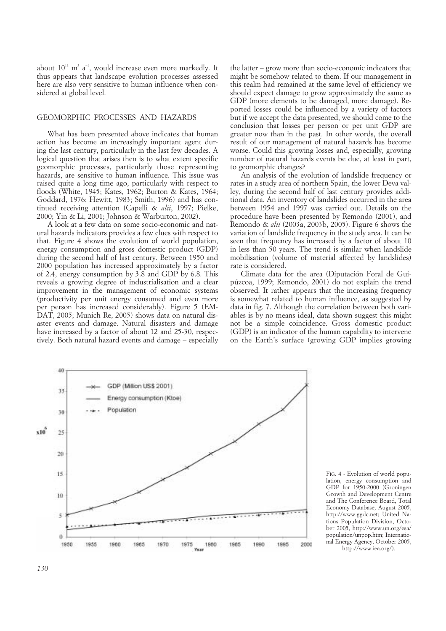about  $10^{11}$  m<sup>3</sup> a<sup>-1</sup>, would increase even more markedly. It thus appears that landscape evolution processes assessed here are also very sensitive to human influence when considered at global level.

### GEOMORPHIC PROCESSES AND HAZARDS

What has been presented above indicates that human action has become an increasingly important agent during the last century, particularly in the last few decades. A logical question that arises then is to what extent specific geomorphic processes, particularly those representing hazards, are sensitive to human influence. This issue was raised quite a long time ago, particularly with respect to floods (White, 1945; Kates, 1962; Burton & Kates, 1964; Goddard, 1976; Hewitt, 1983; Smith, 1996) and has continued receiving attention (Capelli & *alii*, 1997; Pielke, 2000; Yin & Li, 2001; Johnson & Warburton, 2002).

A look at a few data on some socio-economic and natural hazards indicators provides a few clues with respect to that. Figure 4 shows the evolution of world population, energy consumption and gross domestic product (GDP) during the second half of last century. Between 1950 and 2000 population has increased approximately by a factor of 2.4, energy consumption by 3.8 and GDP by 6.8. This reveals a growing degree of industrialisation and a clear improvement in the management of economic systems (productivity per unit energy consumed and even more per person has increased considerably). Figure 5 (EM-DAT, 2005; Munich Re, 2005) shows data on natural disaster events and damage. Natural disasters and damage have increased by a factor of about 12 and 25-30, respectively. Both natural hazard events and damage – especially the latter – grow more than socio-economic indicators that might be somehow related to them. If our management in this realm had remained at the same level of efficiency we should expect damage to grow approximately the same as GDP (more elements to be damaged, more damage). Reported losses could be influenced by a variety of factors but if we accept the data presented, we should come to the conclusion that losses per person or per unit GDP are greater now than in the past. In other words, the overall result of our management of natural hazards has become worse. Could this growing losses and, especially, growing number of natural hazards events be due, at least in part, to geomorphic changes?

An analysis of the evolution of landslide frequency or rates in a study area of northern Spain, the lower Deva valley, during the second half of last century provides additional data. An inventory of landslides occurred in the area between 1954 and 1997 was carried out. Details on the procedure have been presented by Remondo (2001), and Remondo & *alii* (2003a, 2003b, 2005). Figure 6 shows the variation of landslide frequency in the study area. It can be seen that frequency has increased by a factor of about 10 in less than 50 years. The trend is similar when landslide mobilisation (volume of material affected by landslides) rate is considered.

Climate data for the area (Diputación Foral de Guipúzcoa, 1999; Remondo, 2001) do not explain the trend observed. It rather appears that the increasing frequency is somewhat related to human influence, as suggested by data in fig. 7. Although the correlation between both variables is by no means ideal, data shown suggest this might not be a simple coincidence. Gross domestic product (GDP) is an indicator of the human capability to intervene on the Earth's surface (growing GDP implies growing



FIG. 4 - Evolution of world population, energy consumption and GDP for 1950-2000 (Groningen Growth and Development Centre and The Conference Board, Total Economy Database, August 2005, http://www.ggdc.net; United Nations Population Division, October 2005, http://www.un.org/esa/ population/unpop.htm; International Energy Agency, October 2005, http://www.iea.org/).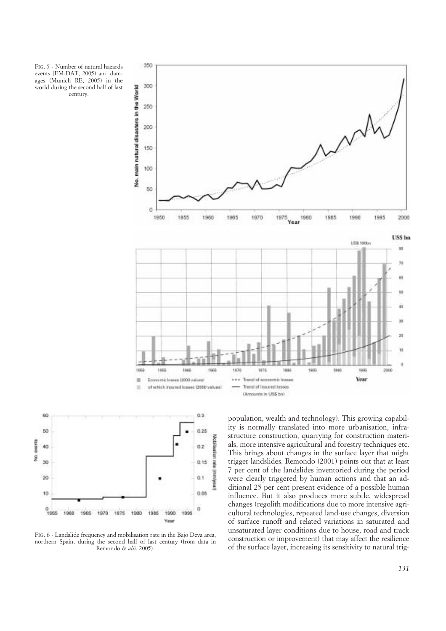





FIG. 6 - Landslide frequency and mobilisation rate in the Bajo Deva area, northern Spain, during the second half of last century (from data in Remondo & *alii*, 2005).

population, wealth and technology). This growing capability is normally translated into more urbanisation, infrastructure construction, quarrying for construction materials, more intensive agricultural and forestry techniques etc. This brings about changes in the surface layer that might trigger landslides. Remondo (2001) points out that at least 7 per cent of the landslides inventoried during the period were clearly triggered by human actions and that an additional 25 per cent present evidence of a possible human influence. But it also produces more subtle, widespread changes (regolith modifications due to more intensive agricultural technologies, repeated land-use changes, diversion of surface runoff and related variations in saturated and unsaturated layer conditions due to house, road and track construction or improvement) that may affect the resilience of the surface layer, increasing its sensitivity to natural trig-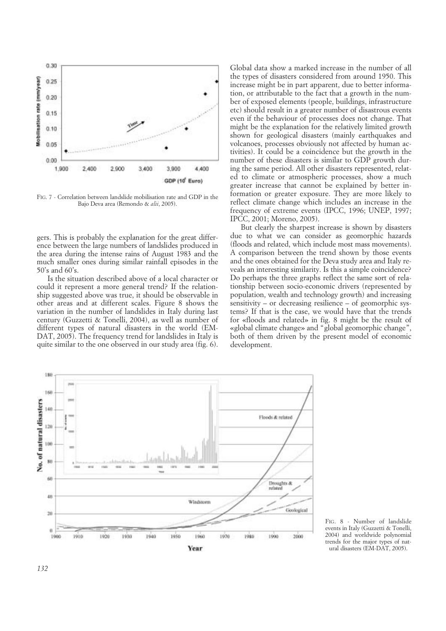

FIG. 7 - Correlation between landslide mobilisation rate and GDP in the Bajo Deva area (Remondo & *alii*, 2005).

gers. This is probably the explanation for the great difference between the large numbers of landslides produced in the area during the intense rains of August 1983 and the much smaller ones during similar rainfall episodes in the 50's and 60's.

Is the situation described above of a local character or could it represent a more general trend? If the relationship suggested above was true, it should be observable in other areas and at different scales. Figure 8 shows the variation in the number of landslides in Italy during last century (Guzzetti & Tonelli, 2004), as well as number of different types of natural disasters in the world (EM-DAT, 2005). The frequency trend for landslides in Italy is quite similar to the one observed in our study area (fig. 6). Global data show a marked increase in the number of all the types of disasters considered from around 1950. This increase might be in part apparent, due to better information, or attributable to the fact that a growth in the number of exposed elements (people, buildings, infrastructure etc) should result in a greater number of disastrous events even if the behaviour of processes does not change. That might be the explanation for the relatively limited growth shown for geological disasters (mainly earthquakes and volcanoes, processes obviously not affected by human activities). It could be a coincidence but the growth in the number of these disasters is similar to GDP growth during the same period. All other disasters represented, related to climate or atmospheric processes, show a much greater increase that cannot be explained by better information or greater exposure. They are more likely to reflect climate change which includes an increase in the frequency of extreme events (IPCC, 1996; UNEP, 1997; IPCC, 2001; Moreno, 2005).

But clearly the sharpest increase is shown by disasters due to what we can consider as geomorphic hazards (floods and related, which include most mass movements). A comparison between the trend shown by those events and the ones obtained for the Deva study area and Italy reveals an interesting similarity. Is this a simple coincidence? Do perhaps the three graphs reflect the same sort of relationship between socio-economic drivers (represented by population, wealth and technology growth) and increasing sensitivity – or decreasing resilience – of geomorphic systems? If that is the case, we would have that the trends for «floods and related» in fig. 8 might be the result of «global climate change» and "global geomorphic change", both of them driven by the present model of economic development.



FIG. 8 - Number of landslide events in Italy (Guzzetti & Tonelli, 2004) and worldwide polynomial trends for the major types of natural disasters (EM-DAT, 2005).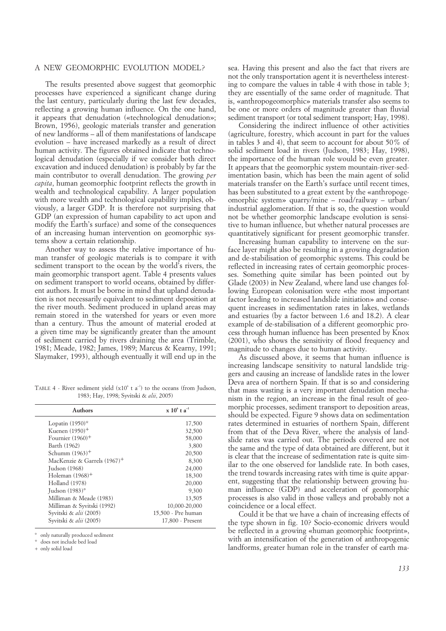## A NEW GEOMORPHIC EVOLUTION MODEL?

The results presented above suggest that geomorphic processes have experienced a significant change during the last century, particularly during the last few decades, reflecting a growing human influence. On the one hand, it appears that denudation («technological denudation»; Brown, 1956), geologic materials transfer and generation of new landforms – all of them manifestations of landscape evolution – have increased markedly as a result of direct human activity. The figures obtained indicate that technological denudation (especially if we consider both direct excavation and induced denudation) is probably by far the main contributor to overall denudation. The growing *per capita*, human geomorphic footprint reflects the growth in wealth and technological capability. A larger population with more wealth and technological capability implies, obviously, a larger GDP. It is therefore not surprising that GDP (an expression of human capability to act upon and modify the Earth's surface) and some of the consequences of an increasing human intervention on geomorphic systems show a certain relationship.

Another way to assess the relative importance of human transfer of geologic materials is to compare it with sediment transport to the ocean by the world's rivers, the main geomorphic transport agent. Table 4 presents values on sediment transport to world oceans, obtained by different authors. It must be borne in mind that upland denudation is not necessarily equivalent to sediment deposition at the river mouth. Sediment produced in upland areas may remain stored in the watershed for years or even more than a century. Thus the amount of material eroded at a given time may be significantly greater than the amount of sediment carried by rivers draining the area (Trimble, 1981; Meade, 1982; James, 1989; Marcus & Kearny, 1991; Slaymaker, 1993), although eventually it will end up in the

TABLE 4 - River sediment yield  $(x10^6 \t a^{-1})$  to the oceans (from Judson, 1983; Hay, 1998; Syvitski & *alii*, 2005)

| <b>Authors</b>                          | $x 10^6$ t a <sup>-1</sup> |
|-----------------------------------------|----------------------------|
| Lopatin $(1950)$ *                      | 17,500                     |
| Kuenen $(1950)^+$                       | 32,500                     |
| Fournier $(1960)^+$                     | 58,000                     |
| Barth (1962)                            | 3,800                      |
| Schumm $(1963)^+$                       | 20,500                     |
| MacKenzie & Garrels (1967) <sup>+</sup> | 8,300                      |
| Judson (1968)                           | 24,000                     |
| Holeman $(1968)^+$                      | 18,300                     |
| Holland (1978)                          | 20,000                     |
| Judson $(1983)$ °                       | 9,300                      |
| Milliman & Meade (1983)                 | 13,505                     |
| Milliman & Syvitski (1992)              | 10,000-20,000              |
| Syvitski & alii (2005)                  | 15,500 - Pre human         |
| Syvitski & alii (2005)                  | 17,800 - Present           |
|                                         |                            |

° only naturally produced sediment

does not include bed load

+ only solid load

sea. Having this present and also the fact that rivers are not the only transportation agent it is nevertheless interesting to compare the values in table 4 with those in table 3; they are essentially of the same order of magnitude. That is, «anthropogeomorphic» materials transfer also seems to be one or more orders of magnitude greater than fluvial sediment transport (or total sediment transport; Hay, 1998).

Considering the indirect influence of other activities (agriculture, forestry, which account in part for the values in tables 3 and 4), that seem to account for about 50% of solid sediment load in rivers (Judson, 1983; Hay, 1998), the importance of the human role would be even greater. It appears that the geomorphic system mountain-river-sedimentation basin, which has been the main agent of solid materials transfer on the Earth's surface until recent times, has been substituted to a great extent by the «anthropogeomorphic system» quarry/mine – road/railway – urban/ industrial agglomeration. If that is so, the question would not be whether geomorphic landscape evolution is sensitive to human influence, but whether natural processes are quantitatively significant for present geomorphic transfer.

Increasing human capability to intervene on the surface layer might also be resulting in a growing degradation and de-stabilisation of geomorphic systems. This could be reflected in increasing rates of certain geomorphic processes. Something quite similar has been pointed out by Glade (2003) in New Zealand, where land use changes following European colonisation were «the most important factor leading to increased landslide initiation» and consequent increases in sedimentation rates in lakes, wetlands and estuaries (by a factor between 1.6 and 18.2). A clear example of de-stabilisation of a different geomorphic process through human influence has been presented by Knox (2001), who shows the sensitivity of flood frequency and magnitude to changes due to human activity.

As discussed above, it seems that human influence is increasing landscape sensitivity to natural landslide triggers and causing an increase of landslide rates in the lower Deva area of northern Spain. If that is so and considering that mass wasting is a very important denudation mechanism in the region, an increase in the final result of geomorphic processes, sediment transport to deposition areas, should be expected. Figure 9 shows data on sedimentation rates determined in estuaries of northern Spain, different from that of the Deva River, where the analysis of landslide rates was carried out. The periods covered are not the same and the type of data obtained are different, but it is clear that the increase of sedimentation rate is quite similar to the one observed for landslide rate. In both cases, the trend towards increasing rates with time is quite apparent, suggesting that the relationship between growing human influence (GDP) and acceleration of geomorphic processes is also valid in those valleys and probably not a coincidence or a local effect.

Could it be that we have a chain of increasing effects of the type shown in fig. 10? Socio-economic drivers would be reflected in a growing «human geomorphic footprint», with an intensification of the generation of anthropogenic landforms, greater human role in the transfer of earth ma-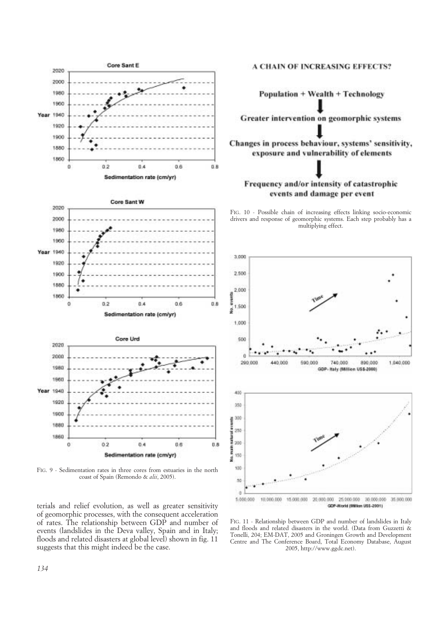

FIG. 9 - Sedimentation rates in three cores from estuaries in the north coast of Spain (Remondo & *alii*, 2005).

terials and relief evolution, as well as greater sensitivity of geomorphic processes, with the consequent acceleration of rates. The relationship between GDP and number of events (landslides in the Deva valley, Spain and in Italy; floods and related disasters at global level) shown in fig. 11 suggests that this might indeed be the case.

#### **A CHAIN OF INCREASING EFFECTS?**

Population + Wealth + Technology Greater intervention on geomorphic systems Changes in process behaviour, systems' sensitivity, exposure and vulnerability of elements Frequency and/or intensity of catastrophic events and damage per event

FIG. 10 - Possible chain of increasing effects linking socio-economic drivers and response of geomorphic systems. Each step probably has a multiplying effect.



FIG. 11 - Relationship between GDP and number of landslides in Italy and floods and related disasters in the world. (Data from Guzzetti & Tonelli, 204; EM-DAT, 2005 and Groningen Growth and Development Centre and The Conference Board, Total Economy Database, August 2005, http://www.ggdc.net).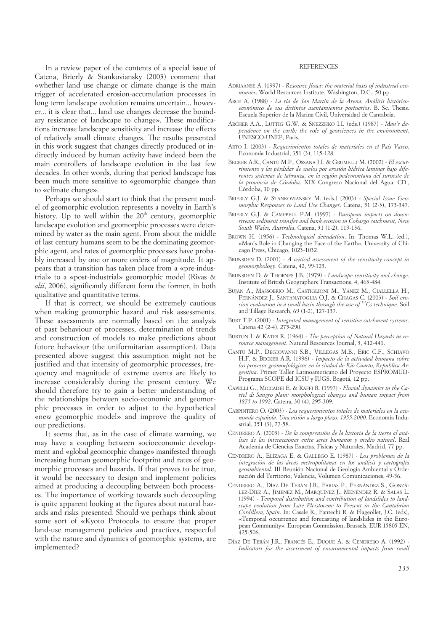In a review paper of the contents of a special issue of Catena, Brierly & Stankoviansky (2003) comment that «whether land use change or climate change is the main trigger of accelerated erosion-accumulation processes in long term landscape evolution remains uncertain... however... it is clear that... land use changes decrease the boundary resistance of landscape to change». These modifications increase landscape sensitivity and increase the effects of relatively small climate changes. The results presented in this work suggest that changes directly produced or indirectly induced by human activity have indeed been the main controllers of landscape evolution in the last few decades. In other words, during that period landscape has been much more sensitive to «geomorphic change» than to «climate change».

Perhaps we should start to think that the present model of geomorphic evolution represents a novelty in Earth's history. Up to well within the  $20<sup>th</sup>$  century, geomorphic landscape evolution and geomorphic processes were determined by water as the main agent. From about the middle of last century humans seem to be the dominating geomorphic agent, and rates of geomorphic processes have probably increased by one or more orders of magnitude. It appears that a transition has taken place from a «pre-industrial» to a «post-industrial» geomorphic model (Rivas & *alii*, 2006), significantly different form the former, in both qualitative and quantitative terms.

If that is correct, we should be extremely cautious when making geomorphic hazard and risk assessments. These assessments are normally based on the analysis of past behaviour of processes, determination of trends and construction of models to make predictions about future behaviour (the uniformitarian assumption). Data presented above suggest this assumption might not be justified and that intensity of geomorphic processes, frequency and magnitude of extreme events are likely to increase considerably during the present century. We should therefore try to gain a better understanding of the relationships between socio-economic and geomorphic processes in order to adjust to the hypothetical «new geomorphic model» and improve the quality of our predictions.

It seems that, as in the case of climate warming, we may have a coupling between socioeconomic development and «global geomorphic change» manifested through increasing human geomorphic footprint and rates of geomorphic processes and hazards. If that proves to be true, it would be necessary to design and implement policies aimed at producing a decoupling between both processes. The importance of working towards such decoupling is quite apparent looking at the figures about natural hazards and risks presented. Should we perhaps think about some sort of «Kyoto Protocol» to ensure that proper land-use management policies and practices, respectful with the nature and dynamics of geomorphic systems, are implemented?

#### REFERENCES

- ADRIAANSE A. (1997) *Resource flows: the material basis of industrial economies*. World Resources Institute, Washington, D.C., 50 pp.
- ARCE A. (1988) *La ría de San Martín de la Arena. Análisis históricoeconómico de sus distintos asentamientos portuarios*. B. Sc. Thesis. Escuela Superior de la Marina Civil, Universidad de Cantabria.
- ARCHER A.A., LUTTIG G.W. & SNEZZHKO I.I. (eds.) (1987) *Man's dependence on the earth; the role of geosciences in the environment*. UNESCO-UNEP, Paris.
- ARTO I. (2003) *Requerimientos totales de materiales en el País Vasco*. Economía Industrial, 351 (3), 115-128.
- BECKER A.R., CANTÚ M.P., OSSANA J.I. & GRUMELLI M. (2002) *El escurrimiento y las pérdidas de suelos por erosión hídrica laminar bajo diferentes sistemas de labranza, en la región pedemontana del suroeste de la provincia de Córdoba*. XIX Congreso Nacional del Agua. CD., Córdoba, 10 pp.
- BRIERLY G.J. & STANKOVIANSKY M. (eds.) (2003) *Special Issue Geomorphic Responses to Land Use Changes*. Catena, 51 (2-3), 173-347.
- BRIERLY G.J. & CAMPBELL P.M. (1997) *European impacts on downstream sediment transfer and bank erosion in Cobargo catchment, New South Wales, Australia*. Catena, 31 (1-2), 119-136.
- BROWN H. (1956) *Technological denudation*. In: Thomas W.L. (ed.), «Man's Role in Changing the Face of the Earth». University of Chicago Press, Chicago, 1023-1032.
- BRUNSDEN D. (2001) *A critical assessment of the sensitivity concept in geomorphology*. Catena, 42, 99-123.
- BRUNSDEN D. & THORNES J.B. (1979) *Landscape sensitivity and change*. Institute of British Geographers Transactions, 4, 463-484.
- BUJAN A., MASSOBRIO M., CASTIGLIONI M., YÁNEZ M., CIALLELLA H., FERNÁNDEZ J., SANTANATOGLIA O.J. & CHAGAS C. (2003) - *Soil erosion evaluation in a small basin through the use of 137Cs technique*. Soil and Tillage Research, 69 (1-2), 127-137.
- BURT T.P. (2001) *Integrated management of sensitive catchment systems*. Catena 42 (2-4), 275-290.
- BURTON I. & KATES R. (1964) *The perception of Natural Hazards in resource management*. Natural Resources Journal, 3, 412-441.
- CANTÚ M.P., DEGIOVANNI S.B., VILLEGAS M.B., ERIC C.F., SCHIAVO H.F. & BECKER A.R. (1996) - *Impacto de la actividad humana sobre los procesos geomorfológicos en la ciudad de Río Cuarto, Republica Argentina*. Primer Taller Latinoamericano del Proyecto ESPROMUD-Programa SCOPE del ICSU y IUGS. Bogotá, 12 pp.
- CAPELLI G., MICCADEI E. & RAFFI R. (1997) *Fluvial dynamics in the Castel di Sangro plain: morphological changes and human impact from 1875 to 1992*. Catena, 30 (4), 295-309.
- CARPINTERO O. (2003) *Los requerimientos totales de materiales en la economía española. Una visión a largo plazo: 1955-2000*. Economía Industrial, 351 (3), 27-58.
- CENDRERO A. (2003) *De la comprensión de la historia de la tierra al análisis de las interacciones entre seres humanos y medio natural*. Real Academia de Ciencias Exactas, Físicas y Naturales, Madrid, 77 pp.
- CENDRERO A., ELÍZAGA E. & GALLEGO E. (1987) *Los problemas de la integración de las áreas metropolitanas en los análisis y cartografía geoambiental*. III Reunión Nacional de Geología Ambiental y Ordenación del Territorio, Valencia, Volumen Comunicaciones, 49-56.
- CENDRERO A., DÍAZ DE TERÁN J.R., FARIAS P., FERNÁNDEZ S., GONZÁ-LEZ-DÍEZ A., JIMENEZ M., MARQUÍNEZ J., MENÉNDEZ R. & SALAS L. (1994) - *Temporal distribution and contribution of landslides to landscape evolution from Late Pleistocene to Present in the Cantabrian Cordillera, Spain*. In: Casale R., Fantechi R. & Flageollet, J.C. (eds), «Temporal occurrence and forecasting of landslides in the European Community». European Commission, Brussels, EUR 15805 EN, 425-506.
- DÍAZ DE TERÁN J.R., FRANCÉS E., DUQUE A. & CENDRERO A. (1992) *Indicators for the assessment of environmental impacts from small*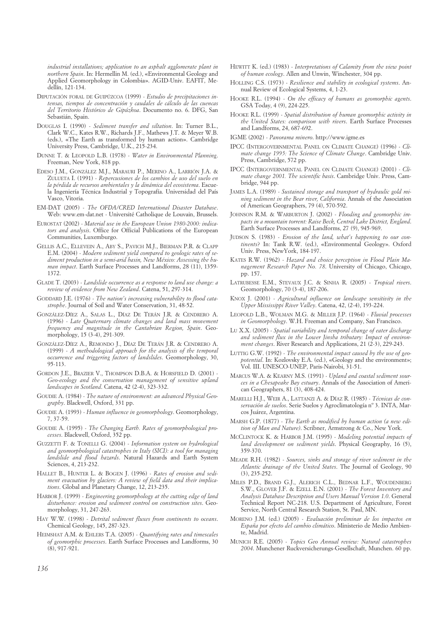*industrial installations; application to an asphalt agglomerate plant in northern Spain*. In: Hermellin M. (ed.), «Environmental Geology and Applied Geomorphology in Colombia». AGID-Univ. EAFIT, Medellín, 121-134.

- DIPUTACIÓN FORAL DE GUIPÚZCOA (1999) *Estudio de precipitaciones intensas, tiempos de concentración y caudales de cálculo de las cuencas del Territorio Histórico de Gipúzkoa*. Documento no. 6. DFG, San Sebastián, Spain.
- DOUGLAS I. (1990) *Sediment transfer and siltation*. In: Turner B.L., Clark W.C., Kates R.W., Richards J.F., Mathews J.T. & Meyer W.B. (eds.), «The Earth as transformed by human action». Cambridge University Press, Cambridge, U.K., 215-234.
- DUNNE T. & LEOPOLD L.B. (1978) *Water in Environmental Planning*. Freeman, New York, 818 pp.
- EDESO J.M., GONZÁLEZ M.J., MARAURI P., MERINO A., LARRIÓN J.A. & ZULUETA I. (1991) - *Repercusiones de los cambios de uso del suelo en la pérdida de recursos ambientales y la dinámica del ecosistema*. Escuela Ingeniería Técnica Industrial y Topografía. Universidad del País Vasco, Vitoria.
- EM-DAT (2005) *The OFDA/CRED International Disaster Database*. Web: www.em-dat.net - Université Catholique de Louvain, Brussels.
- EUROSTAT (2002) *Material use in the European Union 1980-2000: indicators and analysis*. Office for Official Publications of the European Communities, Luxemburgo.
- GELLIS A.C., ELLEVEIN A., ABY S., PAVICH M.J., BIERMAN P.R. & CLAPP E.M. (2004) - *Modern sediment yield compared to geologic rates of sediment production in a semi-arid basin, New México: Assessing the human impact*. Earth Surface Processes and Landforms, 28 (11), 1359- 1372.
- GLADE T. (2003) *Landslide occurrence as a response to land use change: a review of evidence from New Zealand*. Catena, 51, 297-314.
- GODDARD J.E. (1976) *The nation's increasing vulnerability to flood catastrophe*. Journal of Soil and Water Conservation, 31, 48-52.
- GONZÁLEZ-DÍEZ A., SALAS L., DÍAZ DE TERÁN J.R. & CENDRERO A. (1996) - *Late Quaternary climate changes and land mass movement frequency and magnitude in the Cantabrian Region, Spain*. Geomorphology, 15 (3-4), 291-309.
- GONZÁLEZ-DÍEZ A., REMONDO J., DÍAZ DE TERÁN J.R. & CENDRERO A. (1999) - *A methodological approach for the analysis of the temporal occurrence and triggering factors of landslides*. Geomorphology, 30, 95-113.
- GORDON J.E., BRAZIER V., THOMPSON D.B.A. & HORSFIELD D. (2001) *Geo-ecology and the conservation management of sensitive upland landscapes in Scotland*. Catena, 42 (2-4), 323-332.
- GOUDIE A. (1984) *The nature of environment: an advanced Physical Geography*. Blackwell, Oxford, 331 pp.
- GOUDIE A. (1993) *Human influence in geomorphology*. Geomorphology, 7, 37-59.
- GOUDIE A. (1995) *The Changing Earth. Rates of geomorphological processes*. Blackwell, Oxford, 352 pp.
- GUZZETTI F. & TONELLI G. (2004) *Information system on hydrological and geomorphological catastrophes in Italy (SICI): a tool for managing landslide and flood hazards*. Natural Hazards and Earth System Sciences, 4, 213-232.
- HALLET B., HUNTER L. & BOGEN J. (1996) *Rates of erosion and sediment evacuation by glaciers: A review of field data and their implications*. Global and Planetary Change, 12, 213-235.
- HARBOR J. (1999) *Engineering geomorphology at the cutting edge of land disturbance: erosion and sediment control on construction sites*. Geomorphology, 31, 247-263.
- HAY W.W. (1998) *Detrital sediment fluxes from continents to oceans*. Chemical Geology, 145, 287-323.
- HEIMSHAT A.M. & EHLERS T.A. (2005) *Quantifying rates and timescales of geomorphic processes*. Earth Surface Processes and Landforms, 30  $(8)$ , 917-921
- HEWITT K. (ed.) (1983) *Interpretations of Calamity from the view point of human ecology*. Allen and Unwin, Winchester, 304 pp.
- HOLLING C.S. (1973) *Resilience and stability in ecological systems*. Annual Review of Ecological Systems, 4, 1-23.
- HOOKE R.L. (1994) *On the efficacy of humans as geomorphic agents*. GSA Today, 4 (9), 224-225.
- HOOKE R.L. (1999) *Spatial distribution of human geomorphic activity in the United States: comparison with rivers*. Earth Surface Processes and Landforms, 24, 687-692.
- IGME (2002) *Panorama minero*. http://www.igme.es
- IPCC (INTERGOVERNMENTAL PANEL ON CLIMATE CHANGE) (1996) *Climate change 1995: The Science of Climate Change*. Cambridge Univ. Press, Cambridge, 572 pp.
- IPCC (INTERGOVERNMENTAL PANEL ON CLIMATE CHANGE) (2001) *Climate change 2001. The scientific basis*. Cambridge Univ. Press, Cambridge, 944 pp.
- JAMES L.A. (1989) *Sustained storage and transport of hydraulic gold mining sediment in the Bear river, California*. Annals of the Association of American Geographers, 79 (4), 570-592.
- JOHNSON R.M. & WARBURTON J. (2002) *Flooding and geomorphic impacts in a mountain torrent: Raise Beck, Central Lake District, England*. Earth Surface Processes and Landforms, 27 (9), 945-969.
- JUDSON S. (1983) *Erosion of the land, what's happening to our continents*? In: Tank R.W. (ed.), «Environmental Geology». Oxford Univ. Press, NewYork, 184-197.
- KATES R.W. (1962) *Hazard and choice perception in Flood Plain Management Research Paper No. 78*. University of Chicago, Chicago, pp. 157.
- LATRUBESSE E.M., STEVAUX J.C. & SINHA R. (2005) *Tropical rivers*. Geomorphology, 70 (3-4), 187-206.
- KNOX J. (2001) *Agricultural influence on landscape sensitivity in the Upper Mississippi River Valley*. Catena, 42, (2-4), 193-224.
- LEOPOLD L.B., WOLMAN M.G. & MILLER J.P. (1964) *Fluvial processes in Geomorphology*. W.H. Freeman and Company, San Francisco.
- LU X.X. (2005) *Spatial variability and temporal change of eater discharge and sediment flux in the Lower Jinsha tributary: Impact of environment changes*. River Research and Applications, 21 (2-3), 229-243.
- LUTTIG G.W. (1992) *The environmental impact caused by the use of geopotential*. In: Kozlovsky E.A. (ed.), «Geology and the environment»; Vol. III. UNESCO-UNEP, Paris-Nairobi, 31-51.
- MARCUS W.A. & KEARNY M.S. (1991) *Upland and coastal sediment sources in a Chesapeake Bay estuary*. Annals of the Association of American Geographers, 81 (3), 408-424.
- MARELLI H.J., WEIR A., LATTANZI A. & DÍAZ R. (1985) *Técnicas de conservación de suelos*. Serie Suelos y Agroclimatología nº 3. INTA, Marcos Juárez, Argentina.
- MARSH G.P. (1877) *The Earth as modified by human action (a new edition of Man and Nature)*. Scribner, Armstrong & Co., New York.
- MCCLINTOCK K. & HARBOR J.M. (1995) *Modeling potential impacts of land development on sediment yields*. Physical Geography, 16 (5), 359-370.
- MEADE R.H. (1982) *Sources, sinks and storage of river sediment in the Atlantic drainage of the United States*. The Journal of Geology, 90 (3), 235-252.
- MILES P.D., BRAND G.J., ALERICH C.L., BEDNAR L.F., WOUDENBERG S.W., GLOVER J.F. & EZELL E.N. (2001) - *The Forest Inventory and Analysis Database Description and Users Manual Version 1.0*. General Technical Report NC-218. U.S. Department of Agriculture, Forest Service, North Central Research Station, St. Paul, MN.
- MORENO J.M. (ed.) (2005) *Evaluación preliminar de los impactos en España por efecto del cambio climático*. Ministerio de Medio Ambiente, Madrid.
- MUNICH R.E. (2005) *Topics Geo Annual review: Natural catastrophes 2004*. Munchener Ruckversicherungs-Gesellschaft, Munchen. 60 pp.